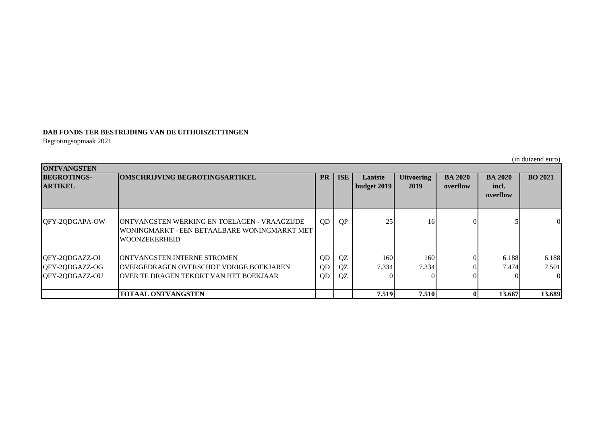## **DAB FONDS TER BESTRIJDING VAN DE UITHUISZETTINGEN**

Begrotingsopmaak 2021

(in duizend euro)

| <b>ONTVANGSTEN</b> |                                                                      |           |            |                    |                   |                |                |                |
|--------------------|----------------------------------------------------------------------|-----------|------------|--------------------|-------------------|----------------|----------------|----------------|
| <b>BEGROTINGS-</b> | <b>OMSCHRIJVING BEGROTINGSARTIKEL</b>                                | <b>PR</b> | <b>ISE</b> | Laatste            | <b>Uitvoering</b> | <b>BA 2020</b> | <b>BA 2020</b> | <b>BO 2021</b> |
| <b>ARTIKEL</b>     |                                                                      |           |            | <b>budget 2019</b> | 2019              | overflow       | incl.          |                |
|                    |                                                                      |           |            |                    |                   |                | overflow       |                |
|                    |                                                                      |           |            |                    |                   |                |                |                |
|                    |                                                                      |           |            |                    |                   |                |                |                |
| QFY-2QDGAPA-OW     | <b>JONTVANGSTEN WERKING EN TOELAGEN - VRAAGZIJDE</b>                 | QD        | <b>QP</b>  | 25                 | <b>16</b>         |                |                | $\Omega$       |
|                    | WONINGMARKT - EEN BETAALBARE WONINGMARKT MET<br><b>WOONZEKERHEID</b> |           |            |                    |                   |                |                |                |
|                    |                                                                      |           |            |                    |                   |                |                |                |
| QFY-2QDGAZZ-OI     | <b>JONTVANGSTEN INTERNE STROMEN</b>                                  | QD        | QZ         | 160                | 160               |                | 6.188          | 6.188          |
| QFY-2QDGAZZ-OG     | <b>OVERGEDRAGEN OVERSCHOT VORIGE BOEKJAREN</b>                       | QD        | QZ         | 7.334              | 7.334             |                | 7.474          | 7.501          |
| OFY-2QDGAZZ-OU     | <b>JOVER TE DRAGEN TEKORT VAN HET BOEKJAAR</b>                       | QD        | QZ         |                    |                   |                |                | $\Omega$       |
|                    |                                                                      |           |            |                    |                   |                |                |                |
|                    | <b>TOTAAL ONTVANGSTEN</b>                                            |           |            | 7.519              | 7.510             |                | 13.667         | 13.689         |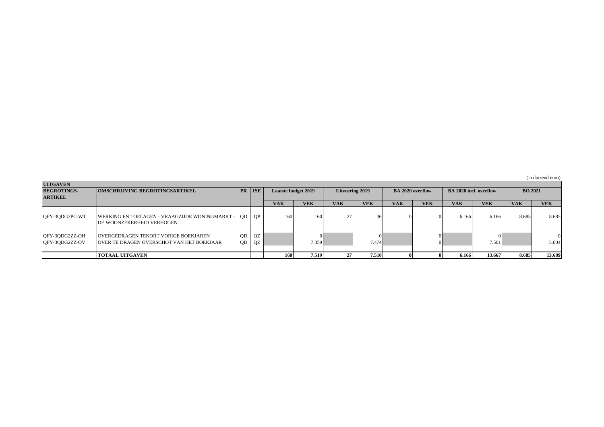(in duizend euro)

| <b>UITGAVEN</b>                  |                                                                                      |            |          |                            |                  |                        |            |                         |            |                               |            |                |            |
|----------------------------------|--------------------------------------------------------------------------------------|------------|----------|----------------------------|------------------|------------------------|------------|-------------------------|------------|-------------------------------|------------|----------------|------------|
| <b>BEGROTINGS-</b>               | <b>OMSCHRIJVING BEGROTINGSARTIKEL</b>                                                |            | PR   ISE | <b>Laatste budget 2019</b> |                  | <b>Uitvoering 2019</b> |            | <b>BA 2020 overflow</b> |            | <b>BA 2020 incl. overflow</b> |            | <b>BO 2021</b> |            |
| <b>ARTIKEL</b>                   |                                                                                      |            |          |                            |                  |                        |            |                         |            |                               |            |                |            |
|                                  |                                                                                      |            |          | <b>VAK</b>                 | <b>VEK</b>       | <b>VAK</b>             | <b>VEK</b> | <b>VAK</b>              | <b>VEK</b> | <b>VAK</b>                    | <b>VEK</b> | <b>VAK</b>     | <b>VEK</b> |
| QFY-3QDG2PC-WT                   | WERKING EN TOELAGEN - VRAAGZIJDE WONINGMARKT -  <br><b>DE WOONZEKERHEID VERHOGEN</b> | QD         | QP       | 160                        | 160 <sub>1</sub> | 27                     | 36         |                         |            | 6.166                         | 6.166      | 8.685          | 8.685      |
| QFY-3QDG2ZZ-OH<br>QFY-3QDG2ZZ-OV | OVERGEDRAGEN TEKORT VORIGE BOEKJAREN<br>OVER TE DRAGEN OVERSCHOT VAN HET BOEKJAAR    | QD  <br>QD | QZ<br>QZ |                            | 7.359            |                        | 7.474      |                         |            |                               | 7.501      |                | 5.004      |
|                                  | <b>TOTAAL UITGAVEN</b>                                                               |            |          | 160                        | 7.519            | 271                    | 7.510      |                         |            | 6.166                         | 13.667     | 8.685          | 13.689     |